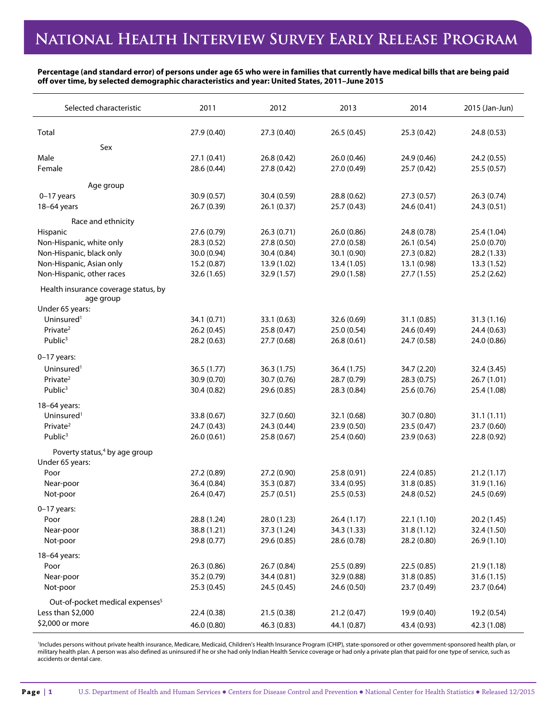## **Percentage (and standard error) of persons under age 65 who were in families that currently have medical bills that are being paid off over time, by selected demographic characteristics and year: United States, 2011–June 2015**

| Selected characteristic                           | 2011        | 2012        | 2013        | 2014        | 2015 (Jan-Jun) |
|---------------------------------------------------|-------------|-------------|-------------|-------------|----------------|
| Total                                             | 27.9 (0.40) | 27.3 (0.40) | 26.5 (0.45) | 25.3 (0.42) | 24.8 (0.53)    |
| Sex                                               |             |             |             |             |                |
| Male                                              | 27.1(0.41)  | 26.8 (0.42) | 26.0(0.46)  | 24.9 (0.46) | 24.2 (0.55)    |
| Female                                            | 28.6 (0.44) | 27.8 (0.42) | 27.0 (0.49) | 25.7 (0.42) | 25.5(0.57)     |
| Age group                                         |             |             |             |             |                |
| $0-17$ years                                      | 30.9(0.57)  | 30.4 (0.59) | 28.8 (0.62) | 27.3(0.57)  | 26.3(0.74)     |
| 18-64 years                                       | 26.7 (0.39) | 26.1(0.37)  | 25.7 (0.43) | 24.6 (0.41) | 24.3 (0.51)    |
| Race and ethnicity                                |             |             |             |             |                |
| Hispanic                                          | 27.6 (0.79) | 26.3(0.71)  | 26.0(0.86)  | 24.8 (0.78) | 25.4 (1.04)    |
| Non-Hispanic, white only                          | 28.3 (0.52) | 27.8 (0.50) | 27.0 (0.58) | 26.1(0.54)  | 25.0 (0.70)    |
| Non-Hispanic, black only                          | 30.0 (0.94) | 30.4 (0.84) | 30.1 (0.90) | 27.3 (0.82) | 28.2 (1.33)    |
| Non-Hispanic, Asian only                          | 15.2 (0.87) | 13.9 (1.02) | 13.4 (1.05) | 13.1 (0.98) | 13.3 (1.52)    |
| Non-Hispanic, other races                         | 32.6 (1.65) | 32.9 (1.57) | 29.0 (1.58) | 27.7 (1.55) | 25.2 (2.62)    |
| Health insurance coverage status, by<br>age group |             |             |             |             |                |
| Under 65 years:                                   |             |             |             |             |                |
| Uninsured <sup>1</sup>                            | 34.1 (0.71) | 33.1(0.63)  | 32.6 (0.69) | 31.1(0.85)  | 31.3(1.16)     |
| Private <sup>2</sup>                              | 26.2(0.45)  | 25.8 (0.47) | 25.0 (0.54) | 24.6 (0.49) | 24.4 (0.63)    |
| Public $3$                                        | 28.2(0.63)  | 27.7 (0.68) | 26.8(0.61)  | 24.7 (0.58) | 24.0 (0.86)    |
|                                                   |             |             |             |             |                |
| $0-17$ years:                                     |             |             |             |             |                |
| Uninsured <sup>1</sup>                            | 36.5(1.77)  | 36.3(1.75)  | 36.4 (1.75) | 34.7 (2.20) | 32.4 (3.45)    |
| Private <sup>2</sup>                              | 30.9(0.70)  | 30.7 (0.76) | 28.7 (0.79) | 28.3 (0.75) | 26.7(1.01)     |
| Public <sup>3</sup>                               | 30.4 (0.82) | 29.6 (0.85) | 28.3 (0.84) | 25.6 (0.76) | 25.4 (1.08)    |
| 18-64 years:                                      |             |             |             |             |                |
| Uninsured <sup>1</sup>                            | 33.8 (0.67) | 32.7 (0.60) | 32.1 (0.68) | 30.7 (0.80) | 31.1(1.11)     |
| Private <sup>2</sup>                              | 24.7 (0.43) | 24.3 (0.44) | 23.9 (0.50) | 23.5(0.47)  | 23.7 (0.60)    |
| Public <sup>3</sup>                               | 26.0 (0.61) | 25.8 (0.67) | 25.4 (0.60) | 23.9(0.63)  | 22.8 (0.92)    |
| Poverty status, <sup>4</sup> by age group         |             |             |             |             |                |
| Under 65 years:                                   |             |             |             |             |                |
| Poor                                              | 27.2 (0.89) | 27.2 (0.90) | 25.8 (0.91) | 22.4(0.85)  | 21.2(1.17)     |
| Near-poor                                         | 36.4 (0.84) | 35.3 (0.87) | 33.4 (0.95) | 31.8 (0.85) | 31.9 (1.16)    |
| Not-poor                                          | 26.4(0.47)  | 25.7(0.51)  | 25.5(0.53)  | 24.8 (0.52) | 24.5 (0.69)    |
| $0-17$ years:                                     |             |             |             |             |                |
| Poor                                              | 28.8 (1.24) | 28.0 (1.23) | 26.4 (1.17) | 22.1 (1.10) | 20.2 (1.45)    |
| Near-poor                                         | 38.8 (1.21) | 37.3 (1.24) | 34.3 (1.33) | 31.8 (1.12) | 32.4 (1.50)    |
| Not-poor                                          | 29.8 (0.77) | 29.6 (0.85) | 28.6 (0.78) | 28.2 (0.80) | 26.9 (1.10)    |
|                                                   |             |             |             |             |                |
| 18-64 years:<br>Poor                              | 26.3 (0.86) | 26.7 (0.84) | 25.5 (0.89) | 22.5 (0.85) | 21.9(1.18)     |
| Near-poor                                         | 35.2 (0.79) | 34.4 (0.81) | 32.9 (0.88) | 31.8 (0.85) | 31.6 (1.15)    |
| Not-poor                                          | 25.3 (0.45) | 24.5 (0.45) | 24.6 (0.50) | 23.7 (0.49) | 23.7 (0.64)    |
|                                                   |             |             |             |             |                |
| Out-of-pocket medical expenses <sup>5</sup>       |             |             |             |             |                |
| Less than \$2,000                                 | 22.4 (0.38) | 21.5 (0.38) | 21.2 (0.47) | 19.9 (0.40) | 19.2 (0.54)    |
| \$2,000 or more                                   | 46.0 (0.80) | 46.3 (0.83) | 44.1 (0.87) | 43.4 (0.93) | 42.3 (1.08)    |

1 Includes persons without private health insurance, Medicare, Medicaid, Children's Health Insurance Program (CHIP), state-sponsored or other government-sponsored health plan, or military health plan. A person was also defined as uninsured if he or she had only Indian Health Service coverage or had only a private plan that paid for one type of service, such as accidents or dental care.